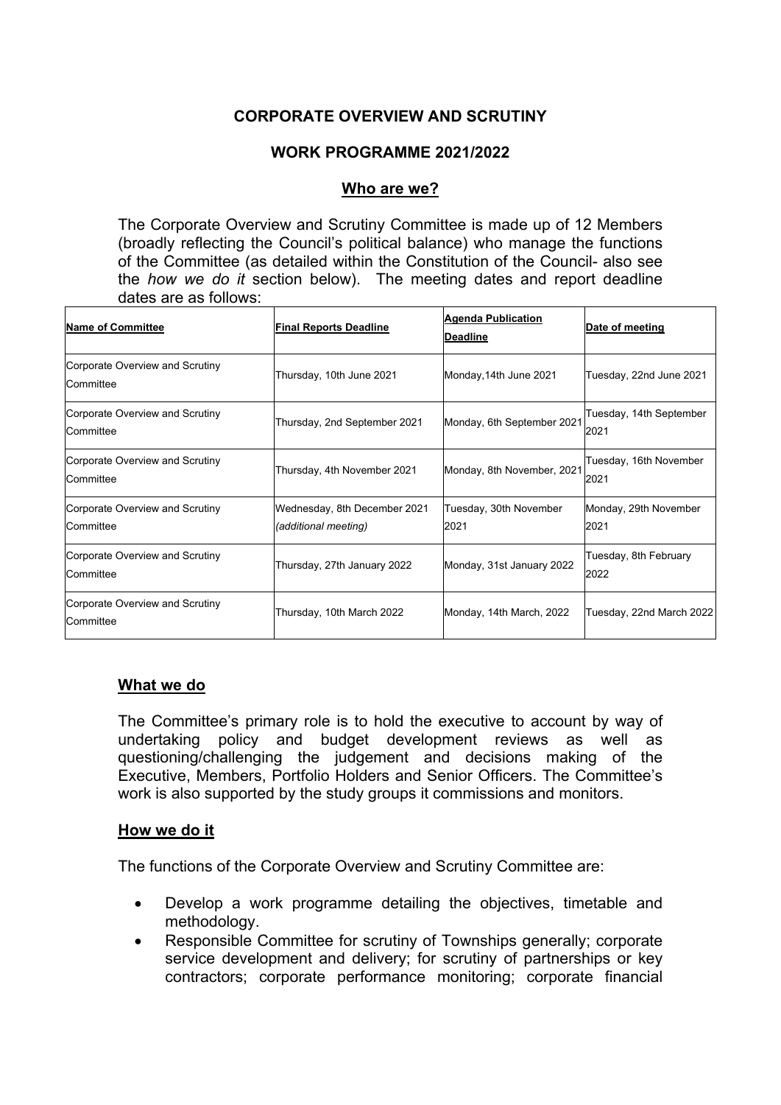## **CORPORATE OVERVIEW AND SCRUTINY**

#### **WORK PROGRAMME 2021/2022**

#### **Who are we?**

The Corporate Overview and Scrutiny Committee is made up of 12 Members (broadly reflecting the Council's political balance) who manage the functions of the Committee (as detailed within the Constitution of the Council- also see the *how we do it* section below). The meeting dates and report deadline dates are as follows:

| Name of Committee                                   | <b>Final Reports Deadline</b>                        | <b>Agenda Publication</b><br>Deadline | Date of meeting                 |
|-----------------------------------------------------|------------------------------------------------------|---------------------------------------|---------------------------------|
| Corporate Overview and Scrutiny<br><b>Committee</b> | Thursday, 10th June 2021                             | Monday, 14th June 2021                | Tuesday, 22nd June 2021         |
| Corporate Overview and Scrutiny<br><b>Committee</b> | Thursday, 2nd September 2021                         | Monday, 6th September 2021            | Tuesday, 14th September<br>2021 |
| Corporate Overview and Scrutiny<br><b>Committee</b> | Thursday, 4th November 2021                          | Monday, 8th November, 2021            | Tuesday, 16th November<br>2021  |
| Corporate Overview and Scrutiny<br>lCommittee       | Wednesday, 8th December 2021<br>(additional meeting) | Tuesday, 30th November<br>2021        | Monday, 29th November<br>2021   |
| Corporate Overview and Scrutiny<br>Committee        | Thursday, 27th January 2022                          | Monday, 31st January 2022             | Tuesday, 8th February<br>2022   |
| Corporate Overview and Scrutiny<br>lCommittee       | Thursday, 10th March 2022                            | Monday, 14th March, 2022              | Tuesday, 22nd March 2022        |

#### **What we do**

The Committee's primary role is to hold the executive to account by way of undertaking policy and budget development reviews as well as questioning/challenging the judgement and decisions making of the Executive, Members, Portfolio Holders and Senior Officers. The Committee's work is also supported by the study groups it commissions and monitors.

#### **How we do it**

The functions of the Corporate Overview and Scrutiny Committee are:

- Develop a work programme detailing the objectives, timetable and methodology.
- Responsible Committee for scrutiny of Townships generally; corporate service development and delivery; for scrutiny of partnerships or key contractors; corporate performance monitoring; corporate financial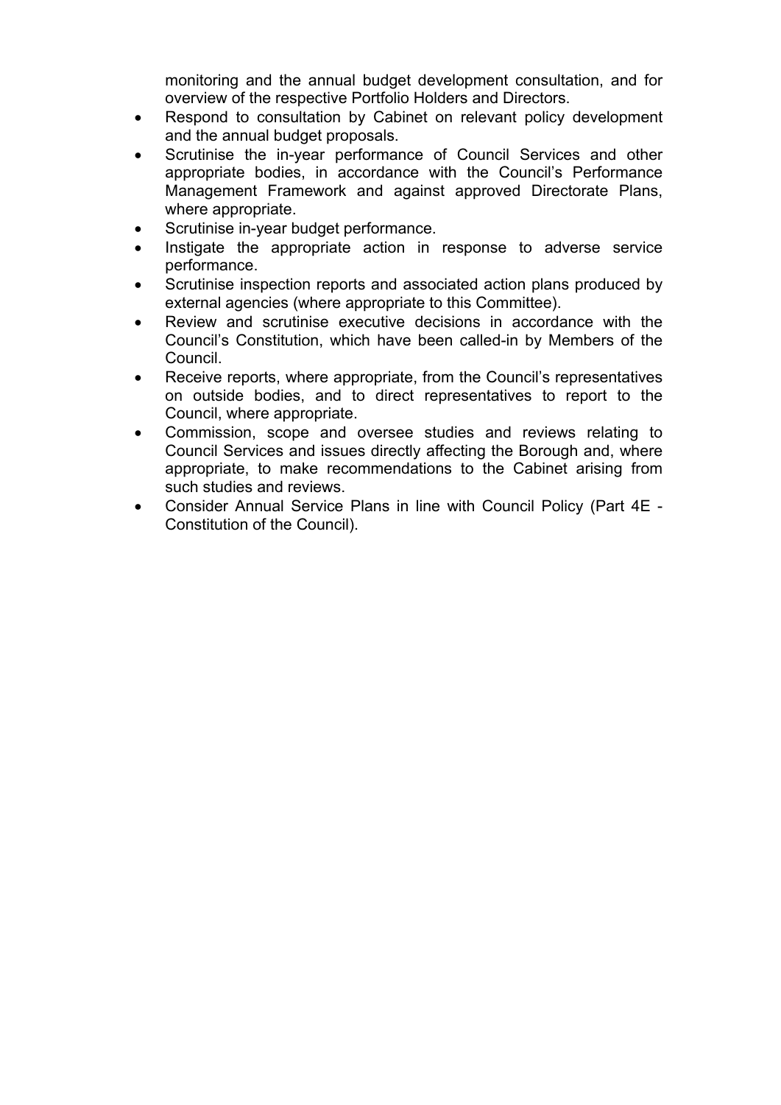monitoring and the annual budget development consultation, and for overview of the respective Portfolio Holders and Directors.

- Respond to consultation by Cabinet on relevant policy development and the annual budget proposals.
- Scrutinise the in-year performance of Council Services and other appropriate bodies, in accordance with the Council's Performance Management Framework and against approved Directorate Plans, where appropriate.
- Scrutinise in-year budget performance.
- Instigate the appropriate action in response to adverse service performance.
- Scrutinise inspection reports and associated action plans produced by external agencies (where appropriate to this Committee).
- Review and scrutinise executive decisions in accordance with the Council's Constitution, which have been called-in by Members of the Council.
- Receive reports, where appropriate, from the Council's representatives on outside bodies, and to direct representatives to report to the Council, where appropriate.
- Commission, scope and oversee studies and reviews relating to Council Services and issues directly affecting the Borough and, where appropriate, to make recommendations to the Cabinet arising from such studies and reviews.
- Consider Annual Service Plans in line with Council Policy (Part 4E Constitution of the Council).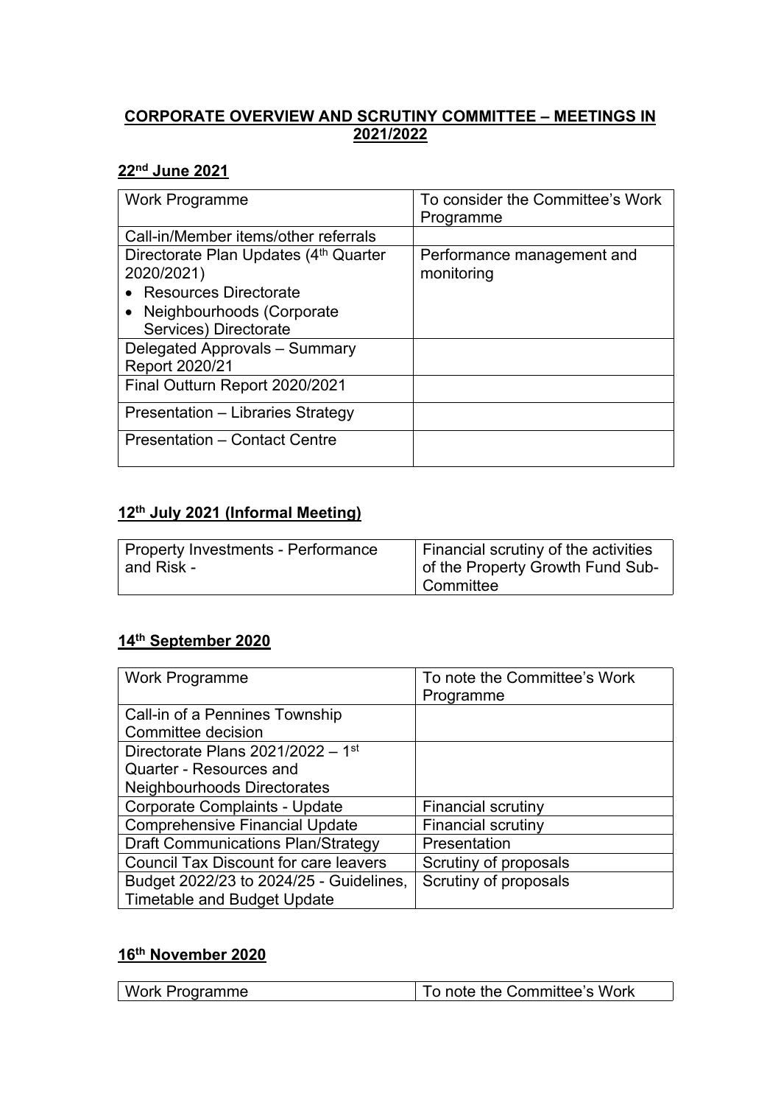## **CORPORATE OVERVIEW AND SCRUTINY COMMITTEE – MEETINGS IN 2021/2022**

# **22nd June 2021**

| <b>Work Programme</b>                               | To consider the Committee's Work<br>Programme |
|-----------------------------------------------------|-----------------------------------------------|
| Call-in/Member items/other referrals                |                                               |
| Directorate Plan Updates (4th Quarter<br>2020/2021) | Performance management and<br>monitoring      |
| • Resources Directorate                             |                                               |
| • Neighbourhoods (Corporate                         |                                               |
| Services) Directorate                               |                                               |
| Delegated Approvals - Summary<br>Report 2020/21     |                                               |
| Final Outturn Report 2020/2021                      |                                               |
| Presentation - Libraries Strategy                   |                                               |
| <b>Presentation – Contact Centre</b>                |                                               |

## **12th July 2021 (Informal Meeting)**

| Property Investments - Performance | Financial scrutiny of the activities |
|------------------------------------|--------------------------------------|
| $^{\circ}$ and Risk -              | of the Property Growth Fund Sub-     |
|                                    | l Committee                          |

# **14th September 2020**

| <b>Work Programme</b>                     | To note the Committee's Work<br>Programme |
|-------------------------------------------|-------------------------------------------|
| Call-in of a Pennines Township            |                                           |
| Committee decision                        |                                           |
| Directorate Plans 2021/2022 - 1st         |                                           |
| Quarter - Resources and                   |                                           |
| Neighbourhoods Directorates               |                                           |
| Corporate Complaints - Update             | <b>Financial scrutiny</b>                 |
| <b>Comprehensive Financial Update</b>     | <b>Financial scrutiny</b>                 |
| <b>Draft Communications Plan/Strategy</b> | Presentation                              |
| Council Tax Discount for care leavers     | Scrutiny of proposals                     |
| Budget 2022/23 to 2024/25 - Guidelines,   | Scrutiny of proposals                     |
| Timetable and Budget Update               |                                           |

# **16th November 2020**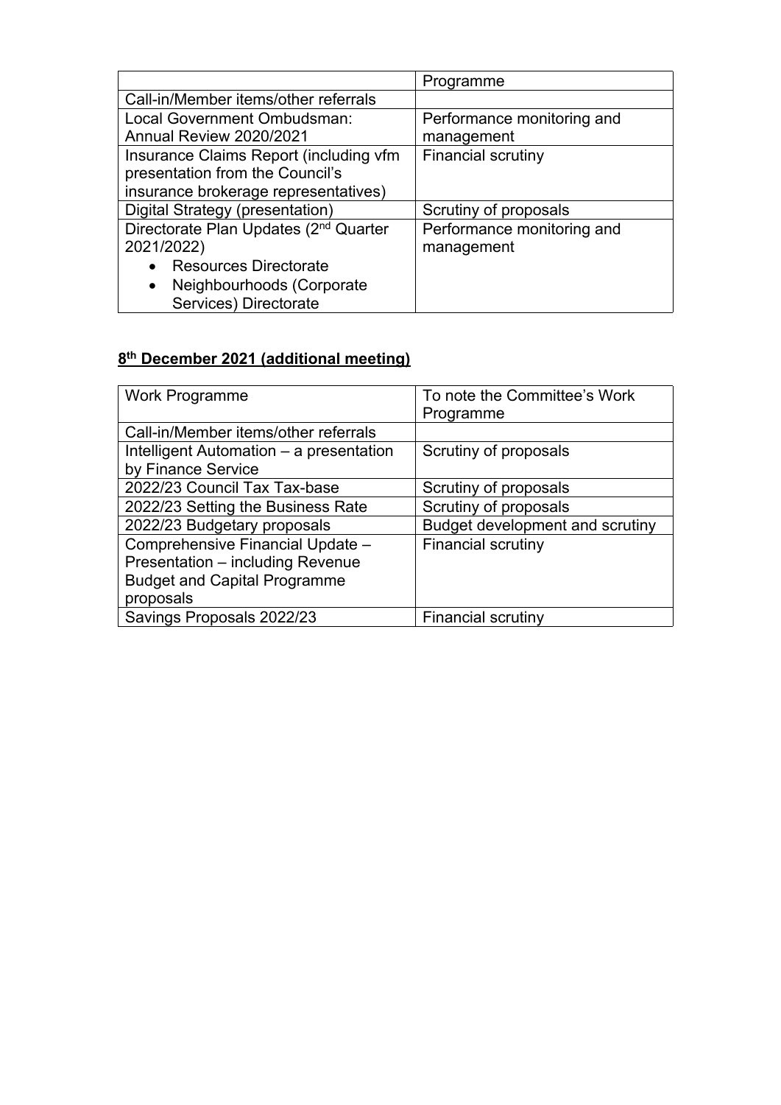|                                                                                                                   | Programme                                |
|-------------------------------------------------------------------------------------------------------------------|------------------------------------------|
| Call-in/Member items/other referrals                                                                              |                                          |
| Local Government Ombudsman:<br>Annual Review 2020/2021                                                            | Performance monitoring and<br>management |
| Insurance Claims Report (including vfm<br>presentation from the Council's<br>insurance brokerage representatives) | <b>Financial scrutiny</b>                |
| Digital Strategy (presentation)                                                                                   | Scrutiny of proposals                    |
| Directorate Plan Updates (2 <sup>nd</sup> Quarter<br>2021/2022)                                                   | Performance monitoring and<br>management |
| <b>Resources Directorate</b><br>Neighbourhoods (Corporate<br>$\bullet$<br>Services) Directorate                   |                                          |

### **8 th December 2021 (additional meeting)**

| <b>Work Programme</b>                   | To note the Committee's Work<br>Programme |
|-----------------------------------------|-------------------------------------------|
| Call-in/Member items/other referrals    |                                           |
| Intelligent Automation - a presentation | Scrutiny of proposals                     |
| by Finance Service                      |                                           |
| 2022/23 Council Tax Tax-base            | Scrutiny of proposals                     |
| 2022/23 Setting the Business Rate       | Scrutiny of proposals                     |
| 2022/23 Budgetary proposals             | Budget development and scrutiny           |
| Comprehensive Financial Update -        | <b>Financial scrutiny</b>                 |
| Presentation - including Revenue        |                                           |
| <b>Budget and Capital Programme</b>     |                                           |
| proposals                               |                                           |
| Savings Proposals 2022/23               | <b>Financial scrutiny</b>                 |